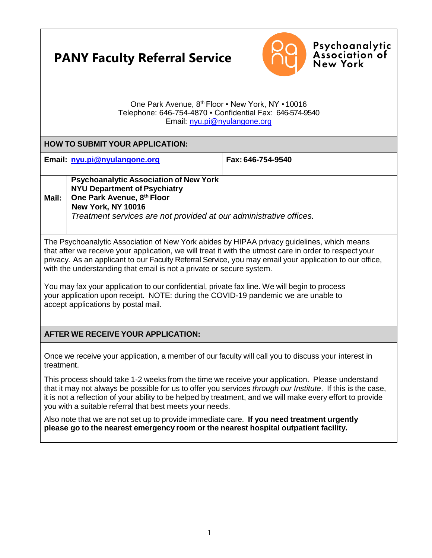# **PANY Faculty Referral Service**



Psychoanalytic<br>Association of **New York** 

#### One Park Avenue, 8<sup>th</sup> Floor . New York, NY . 10016 Telephone: 646-754-4870 ▪ Confidential Fax: 646-574-9540 Email: [nyu.pi@nyulangone.org](mailto:nyu.pi@nyulangone.org)

### **HOW TO SUBMIT YOUR APPLICATION:**

**Email: [nyu.pi@nyulangone.org](mailto:nyu.pi@nyulangone.org) Fax: 646-754-9540**

**Mail:**

#### **Psychoanalytic Association of New York NYU Department of Psychiatry One Park Avenue, 8th Floor**

**New York, NY 10016**

*Treatment services are not provided at our administrative offices.*

The Psychoanalytic Association of New York abides by HIPAA privacy guidelines, which means that after we receive your application, we will treat it with the utmost care in order to respect your privacy. As an applicant to our Faculty Referral Service, you may email your application to our office, with the understanding that email is not a private or secure system.

You may fax your application to our confidential, private fax line. We will begin to process your application upon receipt. NOTE: during the COVID-19 pandemic we are unable to accept applications by postal mail.

## **AFTER WE RECEIVE YOUR APPLICATION:**

Once we receive your application, a member of our faculty will call you to discuss your interest in treatment.

This process should take 1-2 weeks from the time we receive your application. Please understand that it may not always be possible for us to offer you services *through our Institute*. If this is the case, it is not a reflection of your ability to be helped by treatment, and we will make every effort to provide you with a suitable referral that best meets your needs.

Also note that we are not set up to provide immediate care. **If you need treatment urgently please go to the nearest emergency room or the nearest hospital outpatient facility.**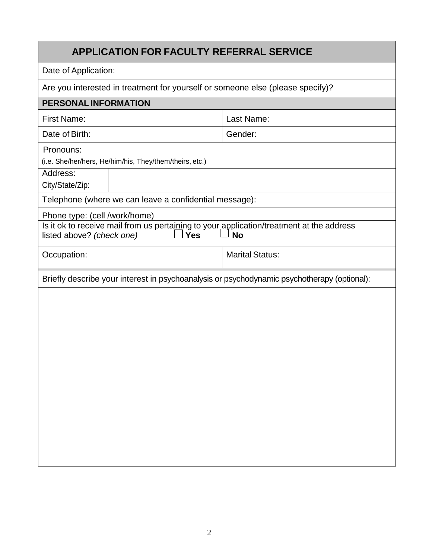## **APPLICATION FOR FACULTY REFERRAL SERVICE**

Date of Application:

Are you interested in treatment for yourself or someone else (please specify)?

| PERSONAL INFORMATION                                                                        |                        |  |  |  |
|---------------------------------------------------------------------------------------------|------------------------|--|--|--|
| <b>First Name:</b>                                                                          | Last Name:             |  |  |  |
| Date of Birth:                                                                              | Gender:                |  |  |  |
| Pronouns:                                                                                   |                        |  |  |  |
| (i.e. She/her/hers, He/him/his, They/them/theirs, etc.)                                     |                        |  |  |  |
| Address:                                                                                    |                        |  |  |  |
| City/State/Zip:                                                                             |                        |  |  |  |
| Telephone (where we can leave a confidential message):                                      |                        |  |  |  |
| Phone type: (cell /work/home)                                                               |                        |  |  |  |
| Is it ok to receive mail from us pertaining to your application/treatment at the address    |                        |  |  |  |
| <b>Yes</b><br>listed above? (check one)                                                     | <b>No</b>              |  |  |  |
| Occupation:                                                                                 | <b>Marital Status:</b> |  |  |  |
| Briefly describe your interest in psychoanalysis or psychodynamic psychotherapy (optional): |                        |  |  |  |
|                                                                                             |                        |  |  |  |
|                                                                                             |                        |  |  |  |
|                                                                                             |                        |  |  |  |
|                                                                                             |                        |  |  |  |
|                                                                                             |                        |  |  |  |
|                                                                                             |                        |  |  |  |
|                                                                                             |                        |  |  |  |
|                                                                                             |                        |  |  |  |
|                                                                                             |                        |  |  |  |
|                                                                                             |                        |  |  |  |
|                                                                                             |                        |  |  |  |
|                                                                                             |                        |  |  |  |
|                                                                                             |                        |  |  |  |
|                                                                                             |                        |  |  |  |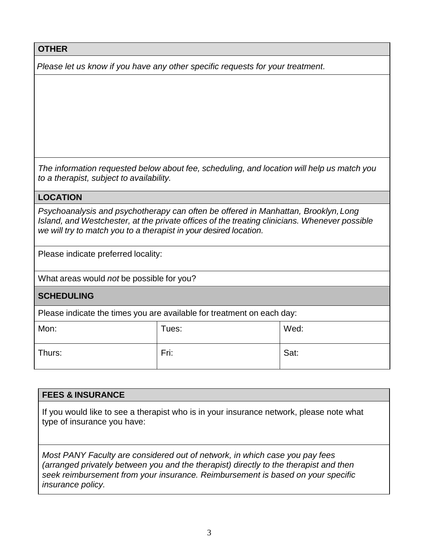**OTHER**

*Please let us know if you have any other specific requests for your treatment.*

*The information requested below about fee, scheduling, and location will help us match you to a therapist, subject to availability.*

## **LOCATION**

*Psychoanalysis and psychotherapy can often be offered in Manhattan, Brooklyn,Long Island, and Westchester, at the private offices of the treating clinicians. Whenever possible we will try to match you to a therapist in your desired location.*

Please indicate preferred locality:

What areas would *not* be possible for you?

## **SCHEDULING**

Please indicate the times you are available for treatment on each day:

| Mon:   | Tues: | Wed: |
|--------|-------|------|
| Thurs: | Fri:  | Sat: |

### **FEES & INSURANCE**

If you would like to see a therapist who is in your insurance network, please note what type of insurance you have:

*Most PANY Faculty are considered out of network, in which case you pay fees (arranged privately between you and the therapist) directly to the therapist and then seek reimbursement from your insurance. Reimbursement is based on your specific insurance policy.*